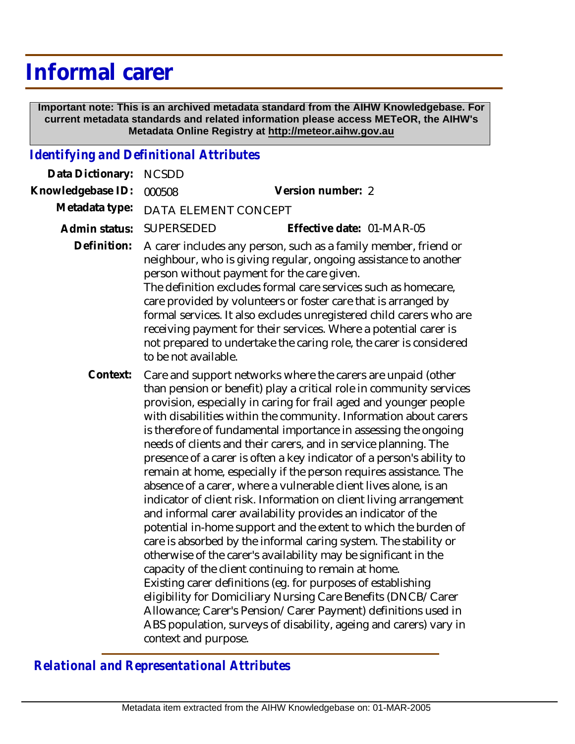## **Informal carer**

 **Important note: This is an archived metadata standard from the AIHW Knowledgebase. For current metadata standards and related information please access METeOR, the AIHW's Metadata Online Registry at http://meteor.aihw.gov.au**

## *Identifying and Definitional Attributes*

| Data Dictionary:  | <b>NCSDD</b>                                                                                                                                                                                                                                                                                                                                                                                                                                                                                                                                                                                                                                                                                                                                                                                                                                                                                                                                                                                                                                                                                                                                                                                                                                                                                                                                |                           |
|-------------------|---------------------------------------------------------------------------------------------------------------------------------------------------------------------------------------------------------------------------------------------------------------------------------------------------------------------------------------------------------------------------------------------------------------------------------------------------------------------------------------------------------------------------------------------------------------------------------------------------------------------------------------------------------------------------------------------------------------------------------------------------------------------------------------------------------------------------------------------------------------------------------------------------------------------------------------------------------------------------------------------------------------------------------------------------------------------------------------------------------------------------------------------------------------------------------------------------------------------------------------------------------------------------------------------------------------------------------------------|---------------------------|
| Knowledgebase ID: | 000508                                                                                                                                                                                                                                                                                                                                                                                                                                                                                                                                                                                                                                                                                                                                                                                                                                                                                                                                                                                                                                                                                                                                                                                                                                                                                                                                      | Version number: 2         |
| Metadata type:    | DATA ELEMENT CONCEPT                                                                                                                                                                                                                                                                                                                                                                                                                                                                                                                                                                                                                                                                                                                                                                                                                                                                                                                                                                                                                                                                                                                                                                                                                                                                                                                        |                           |
| Admin status:     | <b>SUPERSEDED</b>                                                                                                                                                                                                                                                                                                                                                                                                                                                                                                                                                                                                                                                                                                                                                                                                                                                                                                                                                                                                                                                                                                                                                                                                                                                                                                                           | Effective date: 01-MAR-05 |
| Definition:       | A carer includes any person, such as a family member, friend or<br>neighbour, who is giving regular, ongoing assistance to another<br>person without payment for the care given.<br>The definition excludes formal care services such as homecare,<br>care provided by volunteers or foster care that is arranged by<br>formal services. It also excludes unregistered child carers who are<br>receiving payment for their services. Where a potential carer is<br>not prepared to undertake the caring role, the carer is considered<br>to be not available.                                                                                                                                                                                                                                                                                                                                                                                                                                                                                                                                                                                                                                                                                                                                                                               |                           |
| Context:          | Care and support networks where the carers are unpaid (other<br>than pension or benefit) play a critical role in community services<br>provision, especially in caring for frail aged and younger people<br>with disabilities within the community. Information about carers<br>is therefore of fundamental importance in assessing the ongoing<br>needs of clients and their carers, and in service planning. The<br>presence of a carer is often a key indicator of a person's ability to<br>remain at home, especially if the person requires assistance. The<br>absence of a carer, where a vulnerable client lives alone, is an<br>indicator of client risk. Information on client living arrangement<br>and informal carer availability provides an indicator of the<br>potential in-home support and the extent to which the burden of<br>care is absorbed by the informal caring system. The stability or<br>otherwise of the carer's availability may be significant in the<br>capacity of the client continuing to remain at home.<br>Existing carer definitions (eg. for purposes of establishing<br>eligibility for Domiciliary Nursing Care Benefits (DNCB/Carer<br>Allowance; Carer's Pension/Carer Payment) definitions used in<br>ABS population, surveys of disability, ageing and carers) vary in<br>context and purpose. |                           |

*Relational and Representational Attributes*